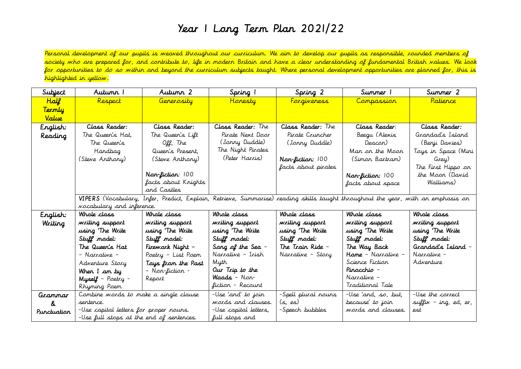## Year 1 Long Term Plan 2021/22

Personal development of our pupils is weaved throughout our curriculum. We aim to develop our pupils as responsible, rounded members of society who are prepared for, and contribute to, life in modern Britain and have a clear understanding of fundamental British values. We look for opportunities to do so within and beyond the curriculum subjects taught. Where personal development opportunities are planned for, this is highlighted in yellow.

| Subject         | Autunn T                                 | Autumn 2                | Spring 1              | Spring 2                                   | Summer 1                                                                                                                         | Summer 2              |  |  |
|-----------------|------------------------------------------|-------------------------|-----------------------|--------------------------------------------|----------------------------------------------------------------------------------------------------------------------------------|-----------------------|--|--|
| <b>Half</b>     | Respect                                  | Generosity              | <b>Honesty</b>        | <i><u>Forgiveness</u></i>                  | Compassion                                                                                                                       | Patience              |  |  |
| <u>Termly</u>   |                                          |                         |                       |                                            |                                                                                                                                  |                       |  |  |
| Value           |                                          |                         |                       |                                            |                                                                                                                                  |                       |  |  |
| English:        | Class Reader:                            | Class Reader:           | Class Reader: The     | Class Reader: The                          | Class Reader:                                                                                                                    | Class Reader:         |  |  |
| Reading         | The Queen's Hat,                         | The Queen's Lift        | Pirate Next Door      | Pirate Cruncher                            | Beegu (Alexis                                                                                                                    | Grandad's Island      |  |  |
|                 | The Queen's                              | Off, The                | (Jonny Duddle)        | (Jonny Duddle)                             | Deacon)                                                                                                                          | (Benji Davies)        |  |  |
|                 | Handbag                                  | Queen's Present,        | The Night Pirates     |                                            | Man on the Moon                                                                                                                  | Toys in Space (Mini   |  |  |
|                 | (Steve Anthony)                          | (Steve Anthony)         | (Peter Harris)        | Nan-fiction: 100                           | (Simon Bartram)                                                                                                                  | Grey)                 |  |  |
|                 |                                          |                         |                       | facts about pirates                        |                                                                                                                                  | The First Hippo on    |  |  |
|                 |                                          | <b>Nan-fictian: 100</b> |                       |                                            | Nan-fiction: 100                                                                                                                 | the Moon (David       |  |  |
|                 |                                          | facts about Krights     |                       |                                            | facts about space                                                                                                                | Walliams)             |  |  |
|                 |                                          | and Castles             |                       |                                            |                                                                                                                                  |                       |  |  |
|                 |                                          |                         |                       |                                            | VIPERS (Vocabulary, Infer, Predict, Explain, Retrieve, Summarise) reading skills taught throughout the year, with an emphasis on |                       |  |  |
|                 | <i>vocabulary and inference.</i>         |                         |                       |                                            |                                                                                                                                  |                       |  |  |
| English:        | Whale class                              | Whole class             | Whale class           | Whale class                                | Whale class                                                                                                                      | Whale class           |  |  |
| Writing         | writing support                          | writing support         | writing support       | writing support                            | writing support                                                                                                                  | writing support       |  |  |
|                 | using 'The Write                         | using 'The Write        | using 'The Write      | using 'The Write                           | using 'The Write                                                                                                                 | using 'The Write      |  |  |
|                 | Stuff model:                             | Stuff model:            | Stuff model:          | Stuff model:                               | Stuff model:                                                                                                                     | Stuff model:          |  |  |
|                 | The Queen's Hat                          | Firework Night -        | Sang of the Sea -     | The Train Ride -                           | The Way Back                                                                                                                     | Grandad's Island –    |  |  |
|                 | - Narrative -                            | Poetry - List Poem      | Narrative – Irish     | Narrative – Story                          | Hame - Narrative -                                                                                                               | Narrative -           |  |  |
|                 | Adventure Story                          | Toys from the Past      | Myth                  |                                            | Science Fiction                                                                                                                  | Adventure             |  |  |
|                 | When I am by                             | - Non-fiction -         | Our Trip to the       |                                            | Pinacchio –                                                                                                                      |                       |  |  |
|                 | Myself - Poetry -                        | Report                  | <b>Waads</b> – Nor-   |                                            | Narrative –                                                                                                                      |                       |  |  |
|                 | Rhyming Poem                             |                         | fiction - Recount     |                                            | Traditional Tale                                                                                                                 |                       |  |  |
| Grammar         | Combine words to make a single clause    |                         | -Use 'and' to join    | -Spell plural nouns<br>-Use 'and, so, but, |                                                                                                                                  | -Use the correct      |  |  |
| $\mathcal{R}^-$ | sentence.                                |                         | words and clauses.    | (s., es)                                   | because' to join                                                                                                                 | suffix - ing, ed, er, |  |  |
| Punctuation     | -Use capital letters for proper nouns.   |                         | -Use capital letters, | -Speech bubbles                            | words and clauses.                                                                                                               | est                   |  |  |
|                 | -Use full stops at the end of sentences. |                         | full stops and        |                                            |                                                                                                                                  |                       |  |  |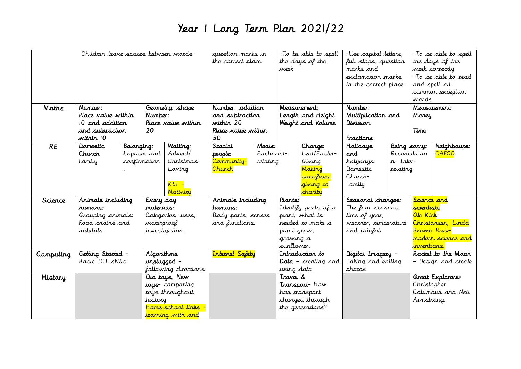## Year 1 Long Term Plan 2021/22

| Maths     | -Children leave spaces between words.<br>Number:<br>Geometry: shape |              |                                 |                                | question marks in<br>-To be able to spell<br>the correct place.<br>the days of the<br>week<br>Number: addition<br>Measurement: |                        | -Use capital letters,<br>full stops, question<br>marks and<br>exclamation marks<br>in the correct place.<br>Number: |                                                | -To be able to spell<br>the days of the<br>week correctly.<br>-To be able to read<br>and spell all<br>common exception<br>wards.<br>Measurement: |          |                   |                     |
|-----------|---------------------------------------------------------------------|--------------|---------------------------------|--------------------------------|--------------------------------------------------------------------------------------------------------------------------------|------------------------|---------------------------------------------------------------------------------------------------------------------|------------------------------------------------|--------------------------------------------------------------------------------------------------------------------------------------------------|----------|-------------------|---------------------|
|           | Place <i>na</i> lue within                                          |              | Number:                         |                                | and subtraction                                                                                                                |                        | Length and Height                                                                                                   |                                                | Multiplication and                                                                                                                               |          | Maney             |                     |
|           | 10 and addition                                                     |              |                                 | Place value within             | within 20                                                                                                                      |                        | Weight and Valume                                                                                                   |                                                | Division                                                                                                                                         |          |                   |                     |
|           | and subtraction                                                     |              | 20                              |                                | Place value within                                                                                                             |                        |                                                                                                                     |                                                |                                                                                                                                                  |          | Time              |                     |
|           | within 10                                                           |              |                                 |                                | 50                                                                                                                             |                        |                                                                                                                     |                                                | Fractions                                                                                                                                        |          |                   |                     |
| <b>RE</b> | Damestic                                                            | Belanging:   |                                 | Waiting:                       | Special                                                                                                                        | Meals:                 |                                                                                                                     | Change:                                        | <b>Halidays</b>                                                                                                                                  |          | Being sarry:      | Neighbours:         |
|           | Church<br>Family                                                    | confirmation | baptism and                     | Advent/<br>Christmas-          | people:<br>Community-                                                                                                          | Eucharist-<br>relating |                                                                                                                     | Lent/Easter-<br>Giving                         | and<br>holydays:                                                                                                                                 | n-Inter- | Reconciliatio     | <b>CAFOD</b>        |
|           |                                                                     |              |                                 | Loving                         | Church                                                                                                                         |                        |                                                                                                                     | Making                                         | Damestic                                                                                                                                         | relating |                   |                     |
|           |                                                                     |              |                                 |                                |                                                                                                                                |                        |                                                                                                                     | sacrifices,                                    | Church-                                                                                                                                          |          |                   |                     |
|           |                                                                     |              |                                 | $KSI -$<br>Nativity            |                                                                                                                                |                        |                                                                                                                     | <mark>giving to</mark><br><mark>charity</mark> | Family                                                                                                                                           |          |                   |                     |
| Science   | Animals including                                                   |              | Every day                       |                                | Animals including                                                                                                              |                        | Plants:                                                                                                             |                                                | Seasonal changes:                                                                                                                                |          | Science and       |                     |
|           | humans:                                                             |              | materials:                      |                                | humans:                                                                                                                        |                        | I dentify parts of a                                                                                                |                                                | The four seasons,                                                                                                                                |          | scientists.       |                     |
|           | Grouping animals:                                                   |              | Categories, uses,               |                                | Body parts, senses                                                                                                             |                        | plant, what is                                                                                                      |                                                | time of year,                                                                                                                                    |          | Ole Kirk          |                     |
|           | Food chains and                                                     |              | waterproof                      |                                | and functions.                                                                                                                 |                        | reeded to make a                                                                                                    |                                                | weather, temperature                                                                                                                             |          |                   | Chrisiansen, Linda  |
|           | habitats                                                            |              | investigation.                  |                                |                                                                                                                                |                        | plant grow,                                                                                                         |                                                | and rainfall.                                                                                                                                    |          |                   | Brown Buck-         |
|           |                                                                     |              |                                 |                                |                                                                                                                                |                        | growing a<br>surflower.                                                                                             |                                                |                                                                                                                                                  |          | inventions.       | modern science and  |
| Computing | Getting Started -                                                   |              | <b>Algorithms</b>               |                                | <b>Internet Safety</b>                                                                                                         |                        | Introduction to                                                                                                     |                                                | Digital Imagery -                                                                                                                                |          |                   | Rocket to the Moon  |
|           | Basic ICT skills                                                    |              | unplugged -                     |                                |                                                                                                                                |                        | Data - creating and                                                                                                 |                                                | Taking and editing                                                                                                                               |          |                   | - Design and create |
|           | following directions                                                |              |                                 |                                |                                                                                                                                | using data             |                                                                                                                     | photos                                         |                                                                                                                                                  |          |                   |                     |
| History   | Old tays, New                                                       |              |                                 | Travel &                       |                                                                                                                                |                        |                                                                                                                     |                                                | Great Explorers-                                                                                                                                 |          |                   |                     |
|           | toys- comparing                                                     |              | Transport How                   |                                |                                                                                                                                |                        |                                                                                                                     | Christopher                                    |                                                                                                                                                  |          |                   |                     |
|           |                                                                     |              | toys throughout                 |                                |                                                                                                                                |                        | has transport                                                                                                       |                                                |                                                                                                                                                  |          | Columbus and Neil |                     |
|           |                                                                     |              | history.<br>Home-school links - |                                |                                                                                                                                |                        | changed through                                                                                                     |                                                |                                                                                                                                                  |          | Armstrang.        |                     |
|           |                                                                     |              |                                 | <mark>learning with and</mark> |                                                                                                                                |                        |                                                                                                                     | the generations?                               |                                                                                                                                                  |          |                   |                     |
|           |                                                                     |              |                                 |                                |                                                                                                                                |                        |                                                                                                                     |                                                |                                                                                                                                                  |          |                   |                     |